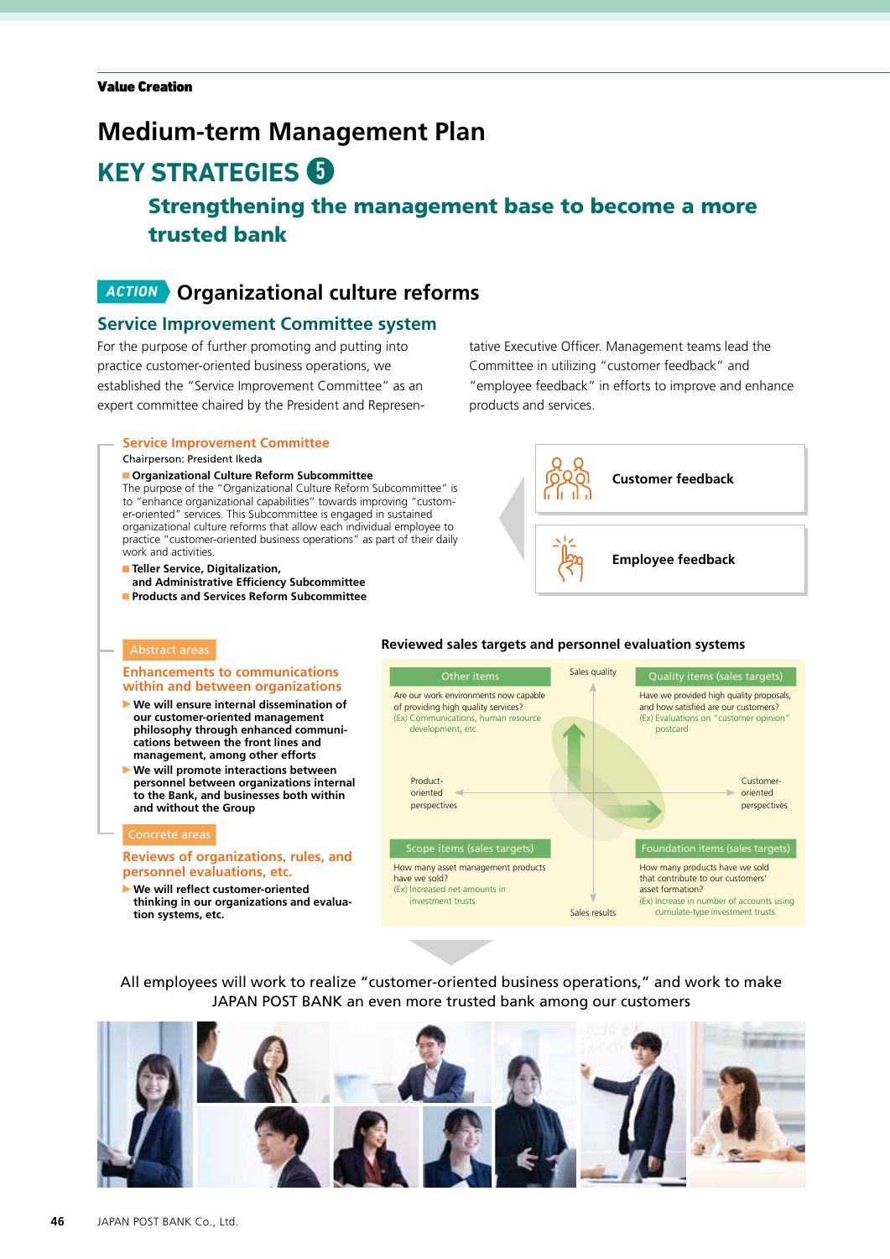# **Medium-term Management Plan**

# **KEY STRATEGIES 6**

# Strengthening the management base to become a more trusted bank

# *ACTION* **Organizational culture reforms**

## **Service Improvement Committee system**

For the purpose of further promoting and putting into practice customer-oriented business operations, we established the "Service Improvement Committee" as an expert committee chaired by the President and Represen-

### **Service Improvement Committee**

#### Chairperson: President Ikeda

### **Organizational Culture Reform Subcommittee**

The purpose of the "Organizational Culture Reform Subcommittee" is to "enhance organizational capabilities" towards improving "customer-oriented" services. This Subcommittee is engaged in sustained organizational culture reforms that allow each individual employee to practice "customer-oriented business operations" as part of their daily work and activities.

**Faller Service, Digitalization, and Administrative Efficiency Subcommittee Products and Services Reform Subcommittee** tative Executive Officer. Management teams lead the Committee in utilizing "customer feedback" and "employee feedback" in efforts to improve and enhance products and services.



### Abstract areas

#### **Enhancements to communications within and between organizations**

- **We will ensure internal dissemination of our customer-oriented management philosophy through enhanced communications between the front lines and management, among other efforts**
- **We will promote interactions between personnel between organizations internal to the Bank, and businesses both within and without the Group**

#### Concrete areas

### **Reviews of organizations, rules, and personnel evaluations, etc.**

 **We will reflect customer-oriented thinking in our organizations and evaluation systems, etc.**

### **Reviewed sales targets and personnel evaluation systems**



All employees will work to realize "customer-oriented business operations," and work to make JAPAN POST BANK an even more trusted bank among our customers

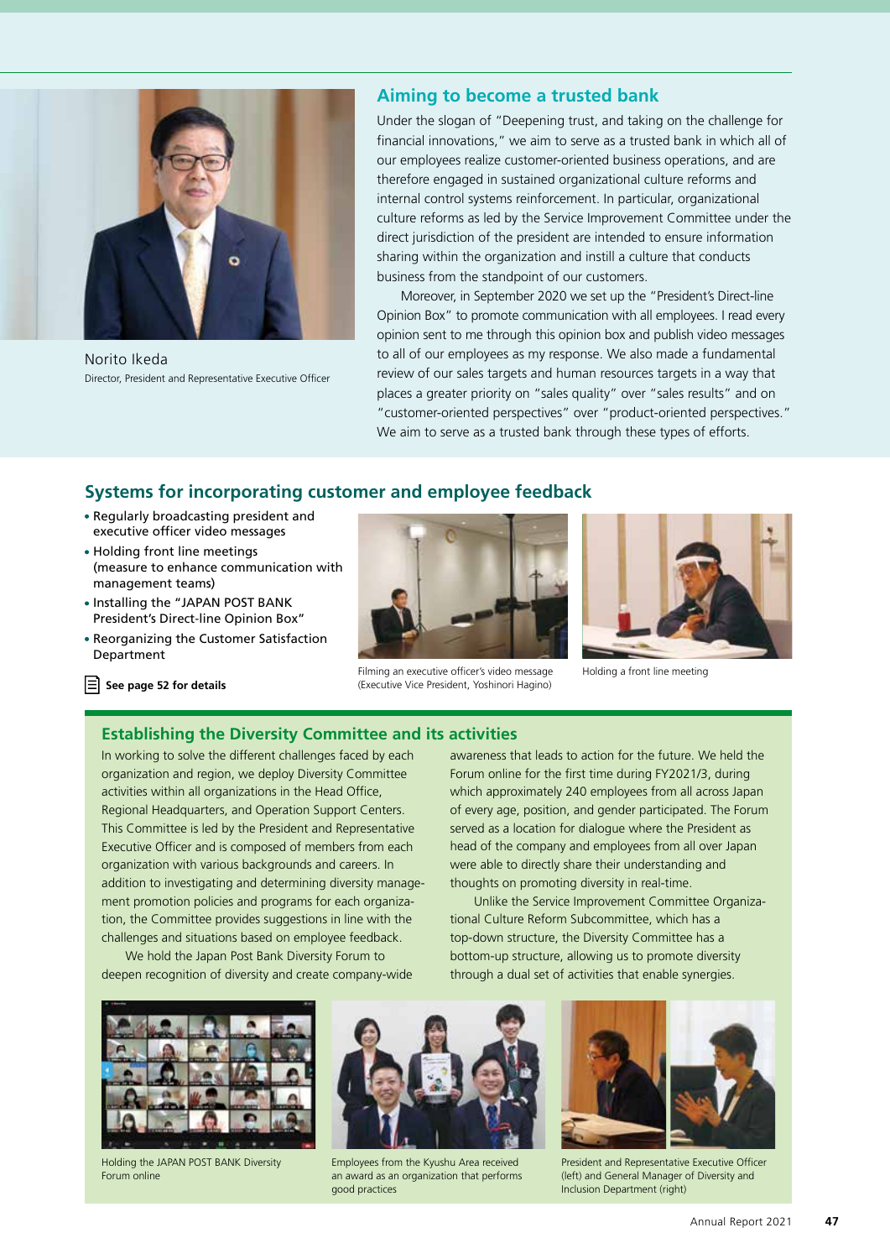

Norito Ikeda Director, President and Representative Executive Officer

### **Aiming to become a trusted bank**

Under the slogan of "Deepening trust, and taking on the challenge for financial innovations," we aim to serve as a trusted bank in which all of our employees realize customer-oriented business operations, and are therefore engaged in sustained organizational culture reforms and internal control systems reinforcement. In particular, organizational culture reforms as led by the Service Improvement Committee under the direct jurisdiction of the president are intended to ensure information sharing within the organization and instill a culture that conducts business from the standpoint of our customers.

Moreover, in September 2020 we set up the "President's Direct-line Opinion Box" to promote communication with all employees. I read every opinion sent to me through this opinion box and publish video messages to all of our employees as my response. We also made a fundamental review of our sales targets and human resources targets in a way that places a greater priority on "sales quality" over "sales results" and on "customer-oriented perspectives" over "product-oriented perspectives." We aim to serve as a trusted bank through these types of efforts.

# **Systems for incorporating customer and employee feedback**

- Regularly broadcasting president and executive officer video messages
- Holding front line meetings (measure to enhance communication with management teams)
- Installing the "JAPAN POST BANK President's Direct-line Opinion Box"
- Reorganizing the Customer Satisfaction Department



Filming an executive officer's video message (Executive Vice President, Yoshinori Hagino)



Holding a front line meeting

 **See page 52 for details**

### **Establishing the Diversity Committee and its activities**

In working to solve the different challenges faced by each organization and region, we deploy Diversity Committee activities within all organizations in the Head Office, Regional Headquarters, and Operation Support Centers. This Committee is led by the President and Representative Executive Officer and is composed of members from each organization with various backgrounds and careers. In addition to investigating and determining diversity management promotion policies and programs for each organization, the Committee provides suggestions in line with the challenges and situations based on employee feedback.

We hold the Japan Post Bank Diversity Forum to deepen recognition of diversity and create company-wide awareness that leads to action for the future. We held the Forum online for the first time during FY2021/3, during which approximately 240 employees from all across Japan of every age, position, and gender participated. The Forum served as a location for dialogue where the President as head of the company and employees from all over Japan were able to directly share their understanding and thoughts on promoting diversity in real-time.

Unlike the Service Improvement Committee Organizational Culture Reform Subcommittee, which has a top-down structure, the Diversity Committee has a bottom-up structure, allowing us to promote diversity through a dual set of activities that enable synergies.



Holding the JAPAN POST BANK Diversity Forum online



Employees from the Kyushu Area received an award as an organization that performs good practices



President and Representative Executive Officer (left) and General Manager of Diversity and Inclusion Department (right)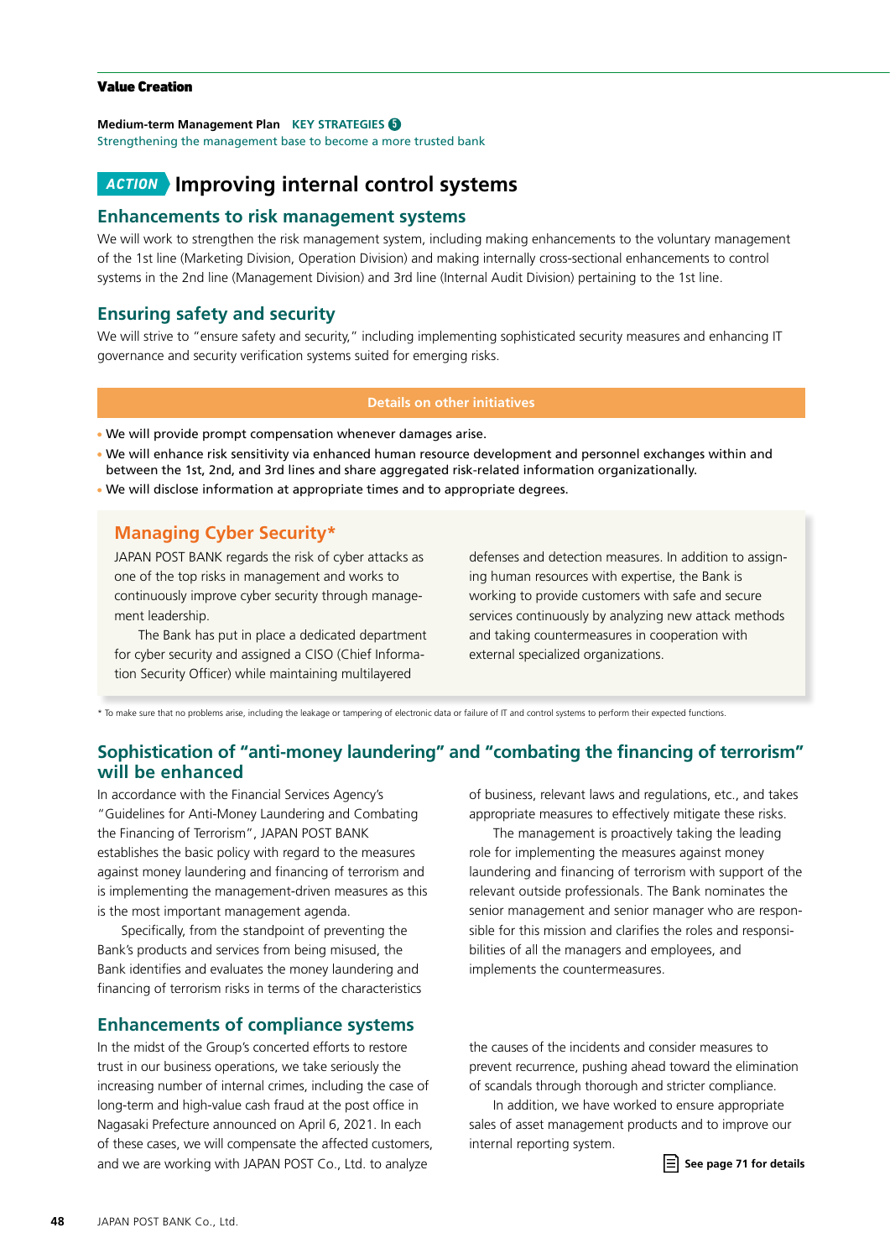### Value Creation

### **Medium-term Management Plan KEY STRATEGIES** 5

Strengthening the management base to become a more trusted bank

# *ACTION* **Improving internal control systems**

### **Enhancements to risk management systems**

We will work to strengthen the risk management system, including making enhancements to the voluntary management of the 1st line (Marketing Division, Operation Division) and making internally cross-sectional enhancements to control systems in the 2nd line (Management Division) and 3rd line (Internal Audit Division) pertaining to the 1st line.

## **Ensuring safety and security**

We will strive to "ensure safety and security," including implementing sophisticated security measures and enhancing IT governance and security verification systems suited for emerging risks.

### **Details on other initiatives**

We will provide prompt compensation whenever damages arise.

- We will enhance risk sensitivity via enhanced human resource development and personnel exchanges within and between the 1st, 2nd, and 3rd lines and share aggregated risk-related information organizationally.
- We will disclose information at appropriate times and to appropriate degrees.

# **Managing Cyber Security\***

JAPAN POST BANK regards the risk of cyber attacks as one of the top risks in management and works to continuously improve cyber security through management leadership.

The Bank has put in place a dedicated department for cyber security and assigned a CISO (Chief Information Security Officer) while maintaining multilayered

defenses and detection measures. In addition to assigning human resources with expertise, the Bank is working to provide customers with safe and secure services continuously by analyzing new attack methods and taking countermeasures in cooperation with external specialized organizations.

\* To make sure that no problems arise, including the leakage or tampering of electronic data or failure of IT and control systems to perform their expected functions.

# **Sophistication of "anti-money laundering" and "combating the financing of terrorism" will be enhanced**

In accordance with the Financial Services Agency's "Guidelines for Anti-Money Laundering and Combating the Financing of Terrorism", JAPAN POST BANK establishes the basic policy with regard to the measures against money laundering and financing of terrorism and is implementing the management-driven measures as this is the most important management agenda.

Specifically, from the standpoint of preventing the Bank's products and services from being misused, the Bank identifies and evaluates the money laundering and financing of terrorism risks in terms of the characteristics

## **Enhancements of compliance systems**

In the midst of the Group's concerted efforts to restore trust in our business operations, we take seriously the increasing number of internal crimes, including the case of long-term and high-value cash fraud at the post office in Nagasaki Prefecture announced on April 6, 2021. In each of these cases, we will compensate the affected customers, and we are working with JAPAN POST Co., Ltd. to analyze

of business, relevant laws and regulations, etc., and takes appropriate measures to effectively mitigate these risks.

The management is proactively taking the leading role for implementing the measures against money laundering and financing of terrorism with support of the relevant outside professionals. The Bank nominates the senior management and senior manager who are responsible for this mission and clarifies the roles and responsibilities of all the managers and employees, and implements the countermeasures.

the causes of the incidents and consider measures to prevent recurrence, pushing ahead toward the elimination of scandals through thorough and stricter compliance.

In addition, we have worked to ensure appropriate sales of asset management products and to improve our internal reporting system.